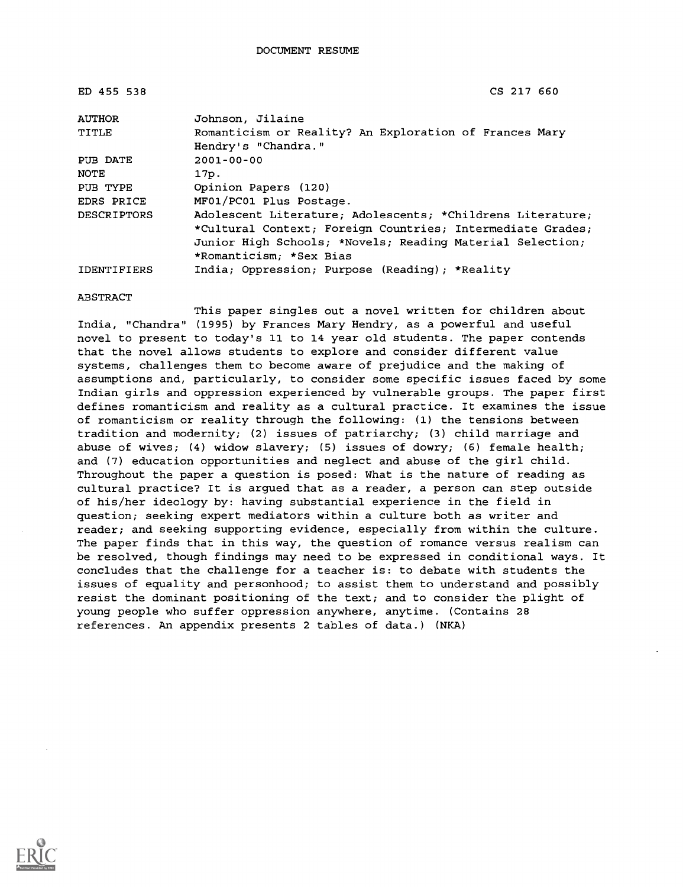| ED 455 538         | CS 217 660                                                 |
|--------------------|------------------------------------------------------------|
| <b>AUTHOR</b>      | Johnson, Jilaine                                           |
| TITLE              | Romanticism or Reality? An Exploration of Frances Mary     |
|                    | Hendry's "Chandra."                                        |
| PUB DATE           | $2001 - 00 - 00$                                           |
| NOTE               | 17p.                                                       |
| PUB TYPE           | Opinion Papers (120)                                       |
| EDRS PRICE         | MF01/PC01 Plus Postage.                                    |
| <b>DESCRIPTORS</b> | Adolescent Literature; Adolescents; *Childrens Literature; |
|                    | *Cultural Context; Foreign Countries; Intermediate Grades; |
|                    | Junior High Schools; *Novels; Reading Material Selection;  |
|                    | *Romanticism; *Sex Bias                                    |
| IDENTIFIERS        | India; Oppression; Purpose (Reading); *Reality             |

#### ABSTRACT

This paper singles out a novel written for children about India, "Chandra" (1995) by Frances Mary Hendry, as a powerful and useful novel to present to today's 11 to 14 year old students. The paper contends that the novel allows students to explore and consider different value systems, challenges them to become aware of prejudice and the making of assumptions and, particularly, to consider some specific issues faced by some Indian girls and oppression experienced by vulnerable groups. The paper first defines romanticism and reality as a cultural practice. It examines the issue of romanticism or reality through the following: (1) the tensions between tradition and modernity; (2) issues of patriarchy; (3) child marriage and abuse of wives; (4) widow slavery; (5) issues of dowry; (6) female health; and (7) education opportunities and neglect and abuse of the girl child. Throughout the paper a question is posed: What is the nature of reading as cultural practice? It is argued that as a reader, a person can step outside of his/her ideology by: having substantial experience in the field in question; seeking expert mediators within a culture both as writer and reader; and seeking supporting evidence, especially from within the culture. The paper finds that in this way, the question of romance versus realism can be resolved, though findings may need to be expressed in conditional ways. It concludes that the challenge for a teacher is: to debate with students the issues of equality and personhood; to assist them to understand and possibly resist the dominant positioning of the text; and to consider the plight of young people who suffer oppression anywhere, anytime. (Contains 28 references. An appendix presents 2 tables of data.) (NKA)

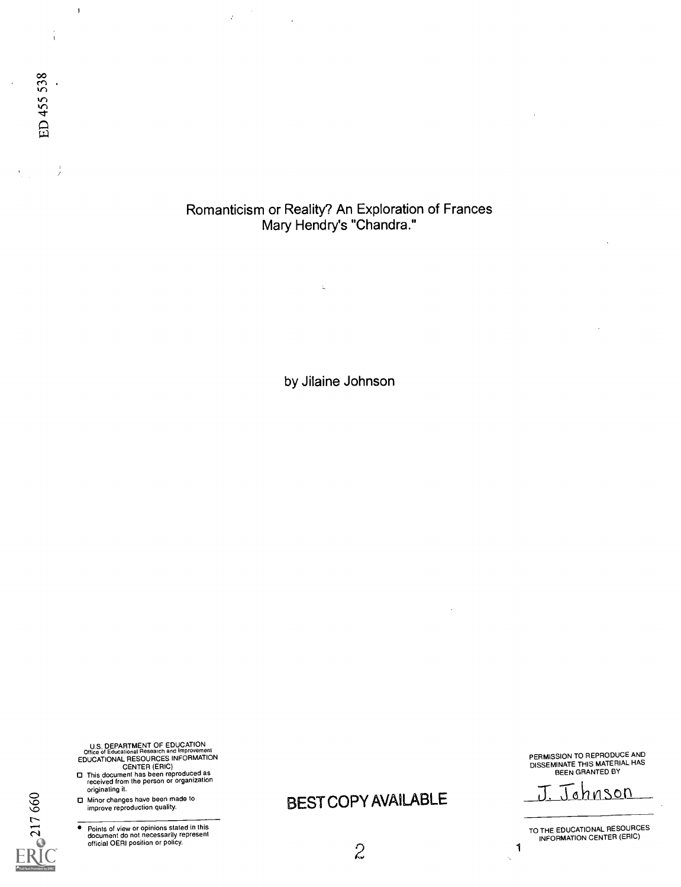Romanticism or Reality? An Exploration of Frances Mary Hendry's "Chandra."

 $\hat{\boldsymbol{\beta}}$  $\bar{J}$ 

 $\mathbb{Z}$ 

by Jilaine Johnson

U.S. DEPARTMENT OF EDUCATION<br>
EDUCATIONAL RESOURCES INFORMATION<br>
CENTER (ERIC)<br>
CENTER (ERIC)<br>
D This document has been reproduced as<br>
received from the person or organization<br>
originating it.

- 0 Minor changes have been made to
- improve reproduction quality.

217660

 $\overline{\bullet}$ Points of view or opinions stated in this document do not necessarily represent official OERI position or policy. BEST COPY AVAILABLE J. Johnson

PERMISSION TO REPRODUCE AND DISSEMINATE THIS MATERIAL HAS BEEN GRANTED BY

TO THE EDUCATIONAL RESOURCES INFORMATION CENTER (ERIC)

1 Ñ,

 $2<sup>2</sup>$ 

 $\bar{\mathbf{r}}$ 

 $\frac{1}{2}$ 

 $\frac{1}{3}$ 

 $\bar{y}$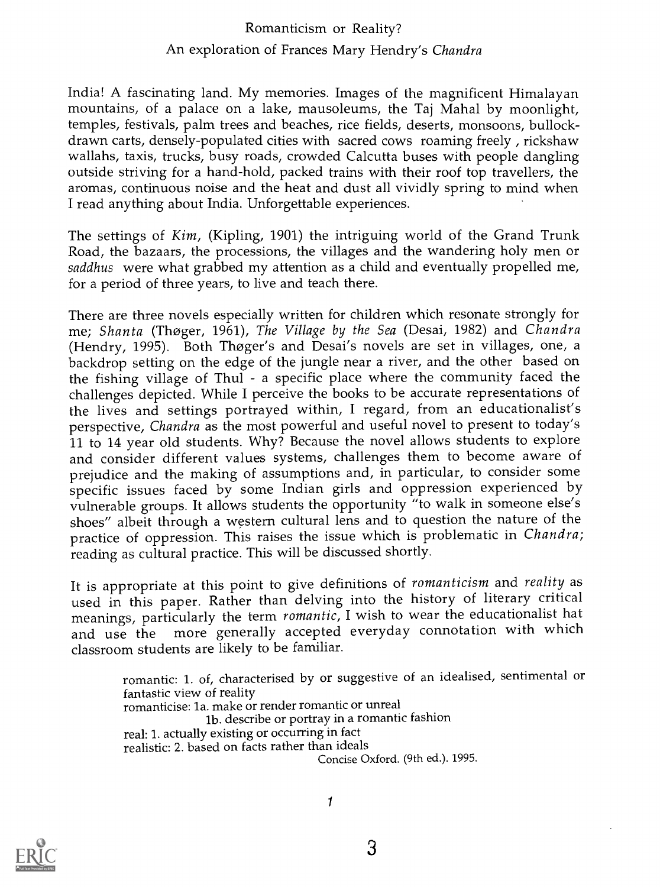## Romanticism or Reality? An exploration of Frances Mary Hendry's Chandra

India! A fascinating land. My memories. Images of the magnificent Himalayan mountains, of a palace on a lake, mausoleums, the Taj Mahal by moonlight, temples, festivals, palm trees and beaches, rice fields, deserts, monsoons, bullockdrawn carts, densely-populated cities with sacred cows roaming freely, rickshaw wallahs, taxis, trucks, busy roads, crowded Calcutta buses with people dangling outside striving for a hand-hold, packed trains with their roof top travellers, the aromas, continuous noise and the heat and dust all vividly spring to mind when I read anything about India. Unforgettable experiences.

The settings of Kim, (Kipling, 1901) the intriguing world of the Grand Trunk Road, the bazaars, the processions, the villages and the wandering holy men or saddhus were what grabbed my attention as a child and eventually propelled me, for a period of three years, to live and teach there.

There are three novels especially written for children which resonate strongly for me; Shanta (Thoger, 1961), The Village by the Sea (Desai, 1982) and Chandra (Hendry, 1995). Both Thoger's and Desai's novels are set in villages, one, a backdrop setting on the edge of the jungle near a river, and the other based on the fishing village of Thul - a specific place where the community faced the challenges depicted. While I perceive the books to be accurate representations of the lives and settings portrayed within, I regard, from an educationalist's perspective, Chandra as the most powerful and useful novel to present to today's 11 to 14 year old students. Why? Because the novel allows students to explore and consider different values systems, challenges them to become aware of prejudice and the making of assumptions and, in particular, to consider some specific issues faced by some Indian girls and oppression experienced by vulnerable groups. It allows students the opportunity "to walk in someone else's shoes" albeit through a western cultural lens and to question the nature of the practice of oppression. This raises the issue which is problematic in Chandra; reading as cultural practice. This will be discussed shortly.

It is appropriate at this point to give definitions of romanticism and reality as used in this paper. Rather than delving into the history of literary critical meanings, particularly the term romantic, I wish to wear the educationalist hat and use the more generally accepted everyday connotation with which classroom students are likely to be familiar.

> romantic: 1. of, characterised by or suggestive of an idealised, sentimental or fantastic view of reality romanticise: la. make or render romantic or unreal lb. describe or portray in a romantic fashion real: 1. actually existing or occurring in fact realistic: 2. based on facts rather than ideals Concise Oxford. (9th ed.). 1995.

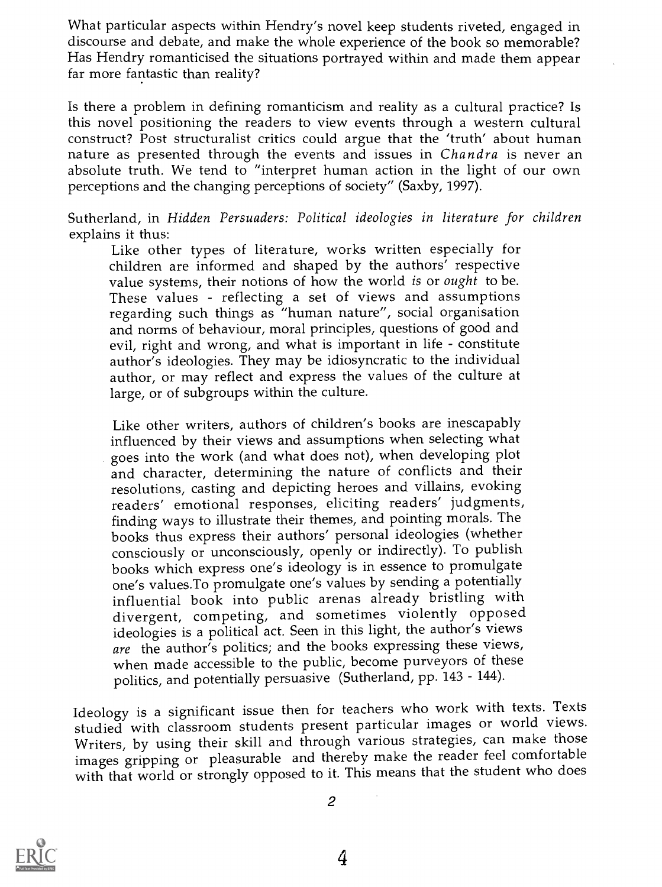What particular aspects within Hendry's novel keep students riveted, engaged in discourse and debate, and make the whole experience of the book so memorable? Has Hendry romanticised the situations portrayed within and made them appear far more fantastic than reality?

Is there a problem in defining romanticism and reality as a cultural practice? Is this novel positioning the readers to view events through a western cultural construct? Post structuralist critics could argue that the 'truth' about human nature as presented through the events and issues in *Chandra* is never an absolute truth. We tend to "interpret human action in the light of our own perceptions and the changing perceptions of society" (Saxby, 1997).

Sutherland, in Hidden Persuaders: Political ideologies in literature for children explains it thus:<br>
Like other types of literature, works written especially for

children are informed and shaped by the authors' respective value systems, their notions of how the world is or ought to be. These values - reflecting a set of views and assumptions regarding such things as "human nature", social organisation and norms of behaviour, moral principles, questions of good and evil, right and wrong, and what is important in life - constitute author's ideologies. They may be idiosyncratic to the individual author, or may reflect and express the values of the culture at large, or of subgroups within the culture.

Like other writers, authors of children's books are inescapably influenced by their views and assumptions when selecting what goes into the work (and what does not), when developing plot and character, determining the nature of conflicts and their resolutions, casting and depicting heroes and villains, evoking readers' emotional responses, eliciting readers' judgments, finding ways to illustrate their themes, and pointing morals. The books thus express their authors' personal ideologies (whether consciously or unconsciously, openly or indirectly). To publish books which express one's ideology is in essence to promulgate one's values.To promulgate one's values by sending a potentially influential book into public arenas already bristling with divergent, competing, and sometimes violently opposed ideologies is a political act. Seen in this light, the author's views are the author's politics; and the books expressing these views, when made accessible to the public, become purveyors of these politics, and potentially persuasive (Sutherland, pp. 143 - 144).

Ideology is a significant issue then for teachers who work with texts. Texts studied with classroom students present particular images or world views. Writers, by using their skill and through various strategies, can make those images gripping or pleasurable and thereby make the reader feel comfortable with that world or strongly opposed to it. This means that the student who does

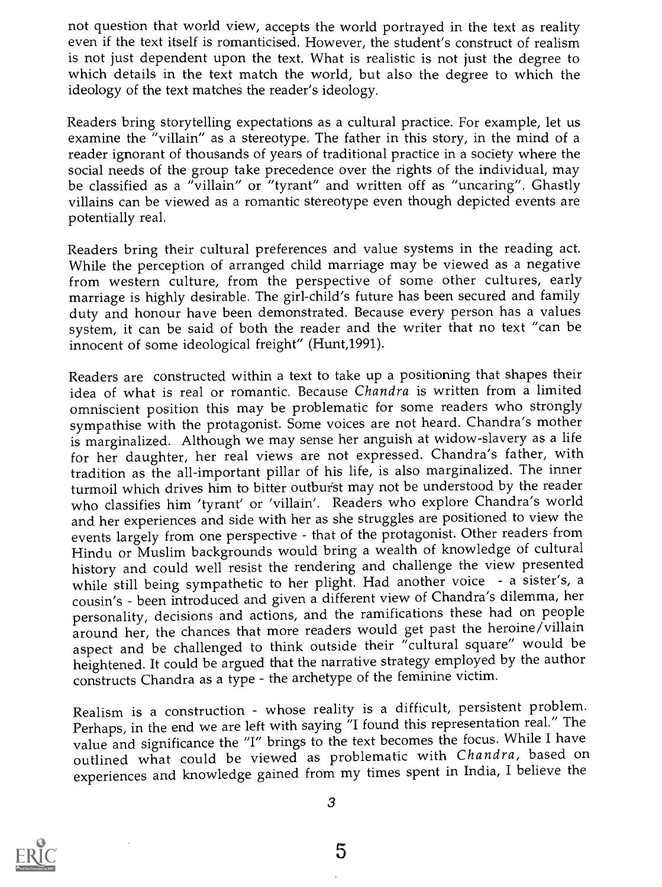not question that world view, accepts the world portrayed in the text as reality even if the text itself is romanticised. However, the student's construct of realism is not just dependent upon the text. What is realistic is not just the degree to which details in the text match the world, but also the degree to which the ideology of the text matches the reader's ideology.

Readers bring storytelling expectations as a cultural practice. For example, let us examine the "villain" as a stereotype. The father in this story, in the mind of a reader ignorant of thousands of years of traditional practice in a society where the social needs of the group take precedence over the rights of the individual, may be classified as a "villain" or "tyrant" and written off as "uncaring". Ghastly villains can be viewed as a romantic stereotype even though depicted events are potentially real.

Readers bring their cultural preferences and value systems in the reading act. While the perception of arranged child marriage may be viewed as a negative from western culture, from the perspective of some other cultures, early marriage is highly desirable. The girl-child's future has been secured and family duty and honour have been demonstrated. Because every person has a values system, it can be said of both the reader and the writer that no text "can be innocent of some ideological freight" (Hunt,1991).

Readers are constructed within a text to take up a positioning that shapes their idea of what is real or romantic. Because Chandra is written from a limited omniscient position this may be problematic for some readers who strongly sympathise with the protagonist. Some voices are not heard. Chandra's mother is marginalized. Although we may sense her anguish at widow-slavery as a life for her daughter, her real views are not expressed. Chandra's father, with tradition as the all-important pillar of his life, is also marginalized. The inner turmoil which drives him to bitter outburst may not be understood by the reader who classifies him 'tyrant' or 'villain'. Readers who explore Chandra's world and her experiences and side with her as she struggles are positioned to view the events largely from one perspective - that of the protagonist. Other readers from Hindu or Muslim backgrounds would bring a wealth of knowledge of cultural history and could well resist the rendering and challenge the view presented while still being sympathetic to her plight. Had another voice - a sister's, a cousin's - been introduced and given a different view of Chandra's dilemma, her personality, decisions and actions, and the ramifications these had on people around her, the chances that more readers would get past the heroine/villain aspect and be challenged to think outside their "cultural square" would be heightened. It could be argued that the narrative strategy employed by the author constructs Chandra as a type - the archetype of the feminine victim.

Realism is a construction - whose reality is a difficult, persistent problem. Perhaps, in the end we are left with saying "I found this representation real." The value and significance the "I" brings to the text becomes the focus. While I have outlined what could be viewed as problematic with Chandra, based on experiences and knowledge gained from my times spent in India, I believe the

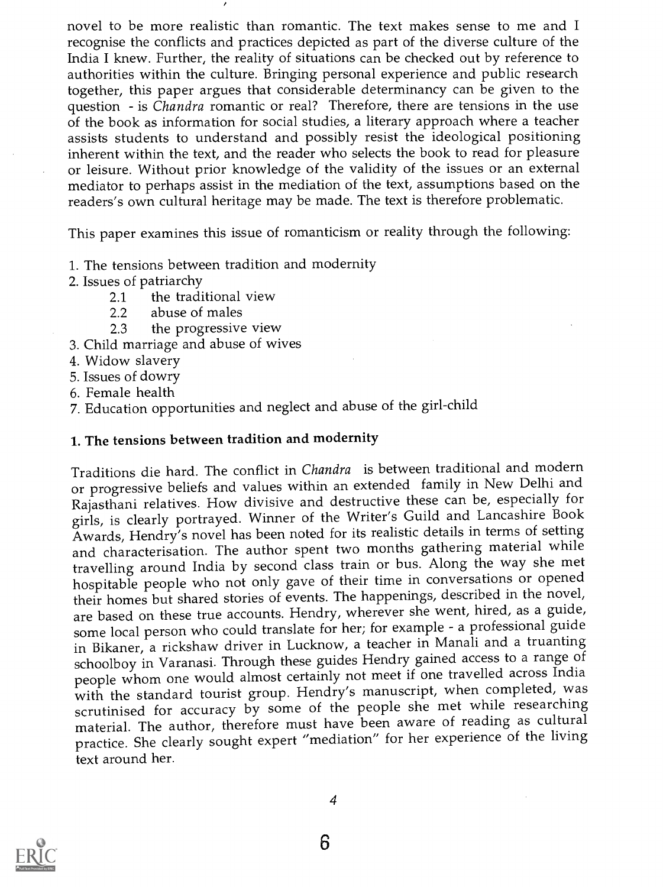novel to be more realistic than romantic. The text makes sense to me and I recognise the conflicts and practices depicted as part of the diverse culture of the India I knew. Further, the reality of situations can be checked out by reference to authorities within the culture. Bringing personal experience and public research together, this paper argues that considerable determinancy can be given to the question - is *Chandra* romantic or real? Therefore, there are tensions in the use of the book as information for social studies, a literary approach where a teacher assists students to understand and possibly resist the ideological positioning inherent within the text, and the reader who selects the book to read for pleasure or leisure. Without prior knowledge of the validity of the issues or an external mediator to perhaps assist in the mediation of the text, assumptions based on the readers's own cultural heritage may be made. The text is therefore problematic.

This paper examines this issue of romanticism or reality through the following:

- 1. The tensions between tradition and modernity
- 2. Issues of patriarchy
	- 2.1 the traditional view
	- 2.2 abuse of males
	- 2.3 the progressive view
- 3. Child marriage and abuse of wives
- 4. Widow slavery
- 5. Issues of dowry
- 6. Female health
- 7. Education opportunities and neglect and abuse of the girl-child

### 1. The tensions between tradition and modernity

Traditions die hard. The conflict in Chandra is between traditional and modern or progressive beliefs and values within an extended family in New Delhi and Rajasthani relatives. How divisive and destructive these can be, especially for girls, is clearly portrayed. Winner of the Writer's Guild and Lancashire Book Awards, Hendry's novel has been noted for its realistic details in terms of setting and characterisation. The author spent two months gathering material while travelling around India by second class train or bus. Along the way she met hospitable people who not only gave of their time in conversations or opened their homes but shared stories of events. The happenings, described in the novel, are based on these true accounts. Hendry, wherever she went, hired, as a guide, some local person who could translate for her; for example - a professional guide in Bikaner, a rickshaw driver in Lucknow, a teacher in Manali and a truanting schoolboy in Varanasi. Through these guides Hendry gained access to a range of people whom one would almost certainly not meet if one travelled across India with the standard tourist group. Hendry's manuscript, when completed, was scrutinised for accuracy by some of the people she met while researching material. The author, therefore must have been aware of reading as cultural practice. She clearly sought expert "mediation" for her experience of the living text around her.

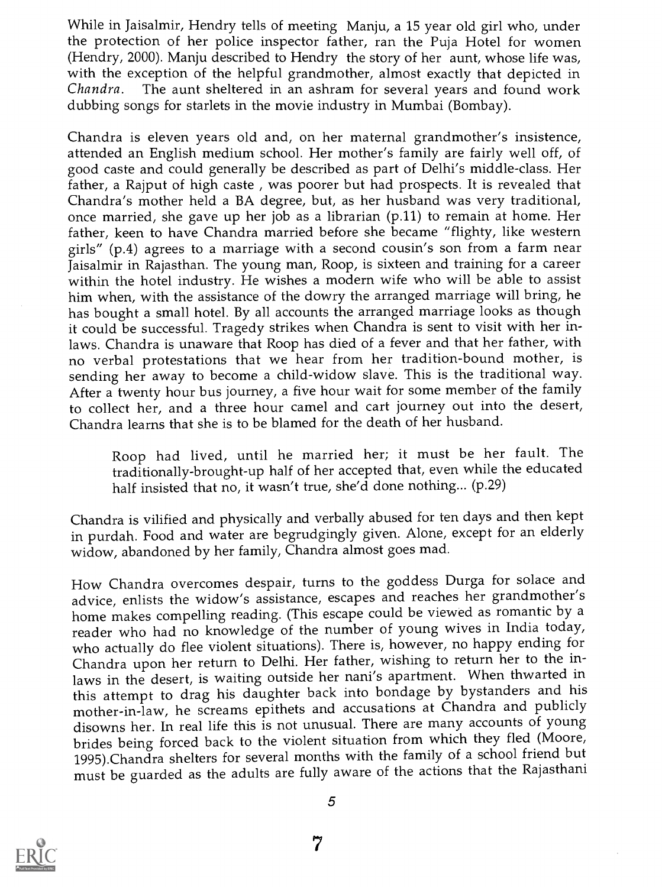While in Jaisalmir, Hendry tells of meeting Manju, a 15 year old girl who, under the protection of her police inspector father, ran the Puja Hotel for women (Hendry, 2000). Manju described to Hendry the story of her aunt, whose life was, with the exception of the helpful grandmother, almost exactly that depicted in Chandra. The aunt sheltered in an ashram for several years and found work dubbing songs for starlets in the movie industry in Mumbai (Bombay).

Chandra is eleven years old and, on her maternal grandmother's insistence, attended an English medium school. Her mother's family are fairly well off, of good caste and could generally be described as part of Delhi's middle-class. Her father, a Rajput of high caste , was poorer but had prospects. It is revealed that Chandra's mother held a BA degree, but, as her husband was very traditional, once married, she gave up her job as a librarian (p.11) to remain at home. Her father, keen to have Chandra married before she became "flighty, like western girls" (p.4) agrees to a marriage with a second cousin's son from a farm near Jaisalmir in Rajasthan. The young man, Roop, is sixteen and training for a career within the hotel industry. He wishes a modern wife who will be able to assist him when, with the assistance of the dowry the arranged marriage will bring, he has bought a small hotel. By all accounts the arranged marriage looks as though it could be successful. Tragedy strikes when Chandra is sent to visit with her inlaws. Chandra is unaware that Roop has died of a fever and that her father, with no verbal protestations that we hear from her tradition-bound mother, is sending her away to become a child-widow slave. This is the traditional way. After a twenty hour bus journey, a five hour wait for some member of the family to collect her, and a three hour camel and cart journey out into the desert, Chandra learns that she is to be blamed for the death of her husband.

Roop had lived, until he married her; it must be her fault. The traditionally-brought-up half of her accepted that, even while the educated half insisted that no, it wasn't true, she'd done nothing... (p.29)

Chandra is vilified and physically and verbally abused for ten days and then kept in purdah. Food and water are begrudgingly given. Alone, except for an elderly widow, abandoned by her family, Chandra almost goes mad.

How Chandra overcomes despair, turns to the goddess Durga for solace and advice, enlists the widow's assistance, escapes and reaches her grandmother's home makes compelling reading. (This escape could be viewed as romantic by a reader who had no knowledge of the number of young wives in India today, who actually do flee violent situations). There is, however, no happy ending for Chandra upon her return to Delhi. Her father, wishing to return her to the inlaws in the desert, is waiting outside her nani's apartment. When thwarted in this attempt to drag his daughter back into bondage by bystanders and his mother-in-law, he screams epithets and accusations at Chandra and publicly disowns her. In real life this is not unusual. There are many accounts of young brides being forced back to the violent situation from which they fled (Moore, 1995).Chandra shelters for several months with the family of a school friend but must be guarded as the adults are fully aware of the actions that the Rajasthani

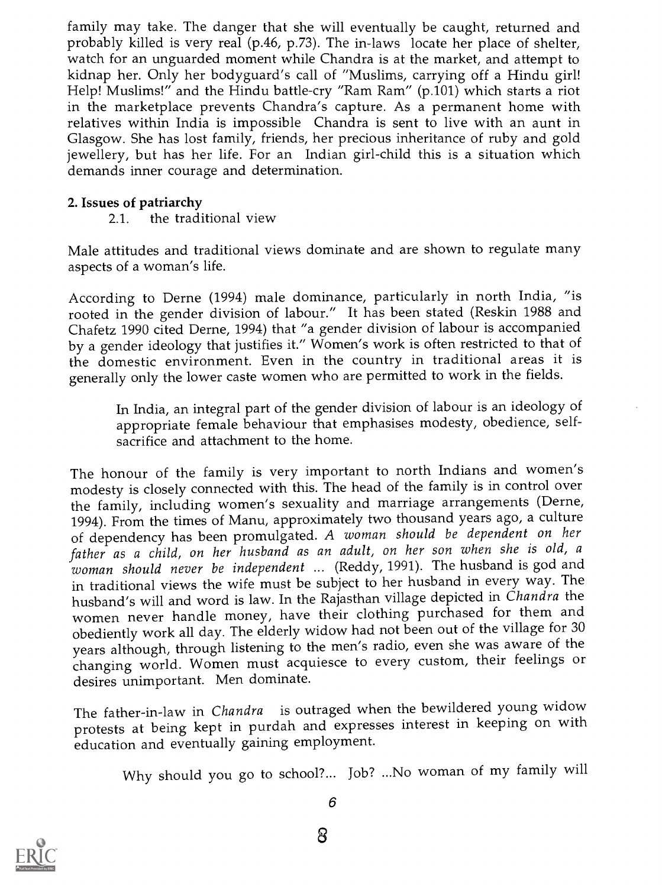family may take. The danger that she will eventually be caught, returned and probably killed is very real (p.46, p.73). The in-laws locate her place of shelter, watch for an unguarded moment while Chandra is at the market, and attempt to kidnap her. Only her bodyguard's call of "Muslims, carrying off a Hindu girl! Help! Muslims!" and the Hindu battle-cry "Ram Ram" (p.101) which starts a riot in the marketplace prevents Chandra's capture. As a permanent home with relatives within India is impossible Chandra is sent to live with an aunt in Glasgow. She has lost family, friends, her precious inheritance of ruby and gold jewellery, but has her life. For an Indian girl-child this is a situation which demands inner courage and determination.

### 2. Issues of patriarchy

2.1. the traditional view

Male attitudes and traditional views dominate and are shown to regulate many aspects of a woman's life.

According to Derne (1994) male dominance, particularly in north India, "is rooted in the gender division of labour." It has been stated (Reskin 1988 and Chafetz 1990 cited Derne, 1994) that "a gender division of labour is accompanied by a gender ideology that justifies it." Women's work is often restricted to that of the domestic environment. Even in the country in traditional areas it is generally only the lower caste women who are permitted to work in the fields.

In India, an integral part of the gender division of labour is an ideology of appropriate female behaviour that emphasises modesty, obedience, selfsacrifice and attachment to the home.

The honour of the family is very important to north Indians and women's modesty is closely connected with this. The head of the family is in control over the family, including women's sexuality and marriage arrangements (Derne, 1994). From the times of Manu, approximately two thousand years ago, a culture of dependency has been promulgated. A woman should be dependent on her father as a child, on her husband as an adult, on her son when she is old, a woman should never be independent ... (Reddy, 1991). The husband is god and in traditional views the wife must be subject to her husband in every way. The husband's will and word is law. In the Rajasthan village depicted in Chandra the women never handle money, have their clothing purchased for them and obediently work all day. The elderly widow had not been out of the village for 30 years although, through listening to the men's radio, even she was aware of the changing world. Women must acquiesce to every custom, their feelings or desires unimportant. Men dominate.

The father-in-law in Chandra is outraged when the bewildered young widow protests at being kept in purdah and expresses interest in keeping on with education and eventually gaining employment.

Why should you go to school?... Job? ...No woman of my family will

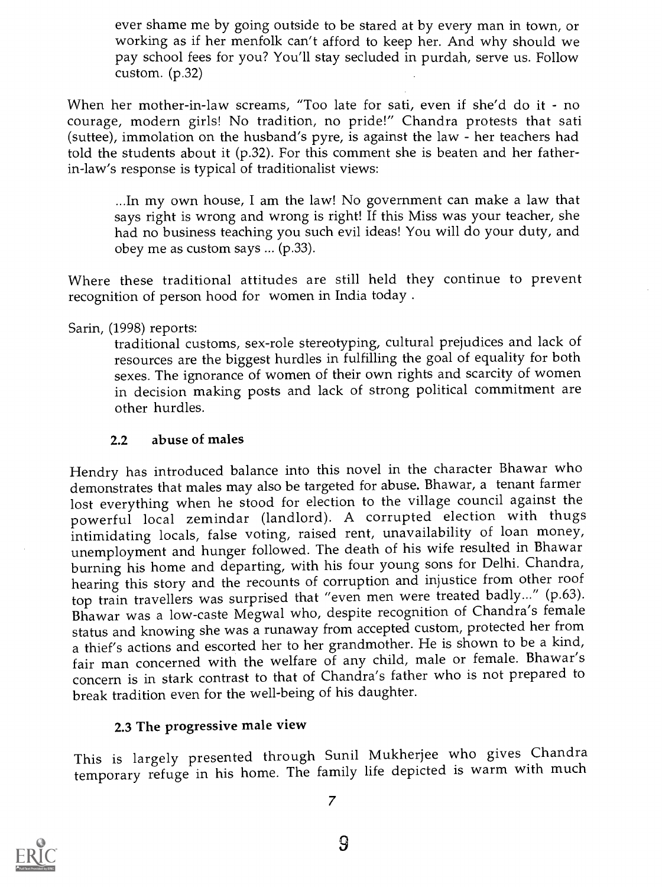ever shame me by going outside to be stared at by every man in town, or working as if her menfolk can't afford to keep her. And why should we pay school fees for you? You'll stay secluded in purdah, serve us. Follow custom. (p.32)

When her mother-in-law screams, "Too late for sati, even if she'd do it - no courage, modern girls! No tradition, no pride!" Chandra protests that sati (suttee), immolation on the husband's pyre, is against the law - her teachers had told the students about it (p.32). For this comment she is beaten and her fatherin-law's response is typical of traditionalist views:

...In my own house, I am the law! No government can make a law that says right is wrong and wrong is right! If this Miss was your teacher, she had no business teaching you such evil ideas! You will do your duty, and obey me as custom says ... (p.33).

Where these traditional attitudes are still held they continue to prevent recognition of person hood for women in India today. .

Sarin, (1998) reports: traditional customs, sex-role stereotyping, cultural prejudices and lack of resources are the biggest hurdles in fulfilling the goal of equality for both sexes. The ignorance of women of their own rights and scarcity of women in decision making posts and lack of strong political commitment are other hurdles.

### 2.2 abuse of males

Hendry has introduced balance into this novel in the character Bhawar who demonstrates that males may also be targeted for abuse. Bhawar, a tenant farmer lost everything when he stood for election to the village council against the powerful local zemindar (landlord). A corrupted election with thugs intimidating locals, false voting, raised rent, unavailability of loan money, unemployment and hunger followed. The death of his wife resulted in Bhawar burning his home and departing, with his four young sons for Delhi. Chandra, hearing this story and the recounts of corruption and injustice from other roof top train travellers was surprised that "even men were treated badly..." (p.63). Bhawar was a low-caste Megwal who, despite recognition of Chandra's female status and knowing she was a runaway from accepted custom, protected her from a thief's actions and escorted her to her grandmother. He is shown to be a kind, fair man concerned with the welfare of any child, male or female. Bhawar's concern is in stark contrast to that of Chandra's father who is not prepared to break tradition even for the well-being of his daughter.

### 2.3 The progressive male view

This is largely presented through Sunil Mukherjee who gives Chandra temporary refuge in his home. The family life depicted is warm with much

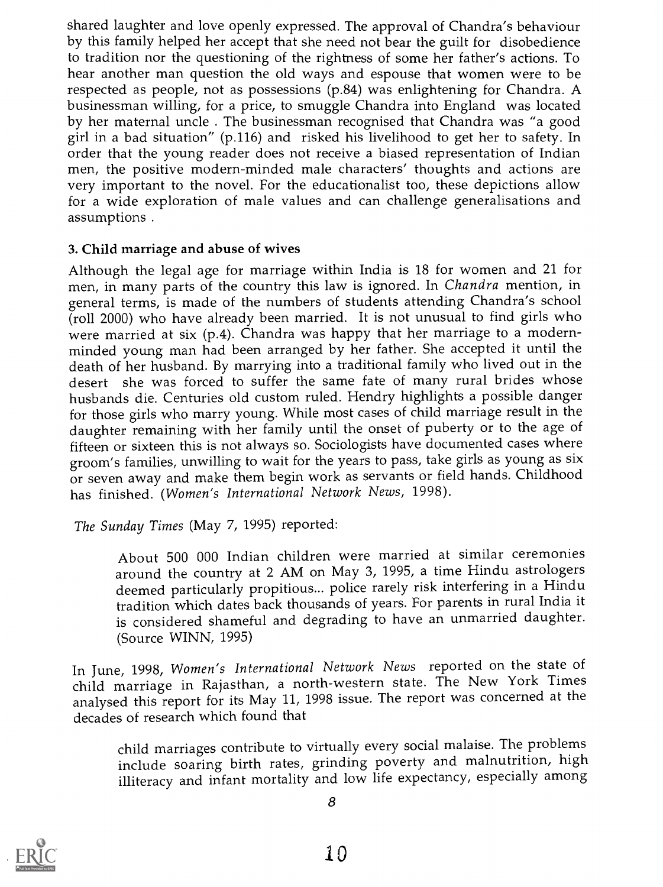shared laughter and love openly expressed. The approval of Chandra's behaviour by this family helped her accept that she need not bear the guilt for disobedience to tradition nor the questioning of the rightness of some her father's actions. To hear another man question the old ways and espouse that women were to be respected as people, not as possessions (p.84) was enlightening for Chandra. A businessman willing, for a price, to smuggle Chandra into England was located by her maternal uncle . The businessman recognised that Chandra was "a good girl in a bad situation" (p.116) and risked his livelihood to get her to safety. In order that the young reader does not receive a biased representation of Indian men, the positive modern-minded male characters' thoughts and actions are very important to the novel. For the educationalist too, these depictions allow for a wide exploration of male values and can challenge generalisations and assumptions .

### 3. Child marriage and abuse of wives

Although the legal age for marriage within India is 18 for women and 21 for men, in many parts of the country this law is ignored. In Chandra mention, in general terms, is made of the numbers of students attending Chandra's school (roll 2000) who have already been married. It is not unusual to find girls who were married at six (p.4). Chandra was happy that her marriage to a modernminded young man had been arranged by her father. She accepted it until the death of her husband. By marrying into a traditional family who lived out in the desert she was forced to suffer the same fate of many rural brides whose husbands die. Centuries old custom ruled. Hendry highlights a possible danger for those girls who marry young. While most cases of child marriage result in the daughter remaining with her family until the onset of puberty or to the age of fifteen or sixteen this is not always so. Sociologists have documented cases where groom's families, unwilling to wait for the years to pass, take girls as young as six or seven away and make them begin work as servants or field hands. Childhood has finished. (Women's International Network News, 1998).

The Sunday Times (May 7, 1995) reported:

About 500 000 Indian children were married at similar ceremonies around the country at 2 AM on May 3, 1995, a time Hindu astrologers deemed particularly propitious... police rarely risk interfering in a Hindu tradition which dates back thousands of years. For parents in rural India it is considered shameful and degrading to have an unmarried daughter. (Source WINN, 1995)

In June, 1998, Women's International Network News reported on the state of child marriage in Rajasthan, a north-western state. The New York Times analysed this report for its May 11, 1998 issue. The report was concerned at the decades of research which found that

child marriages contribute to virtually every social malaise. The problems include soaring birth rates, grinding poverty and malnutrition, high illiteracy and infant mortality and low life expectancy, especially among

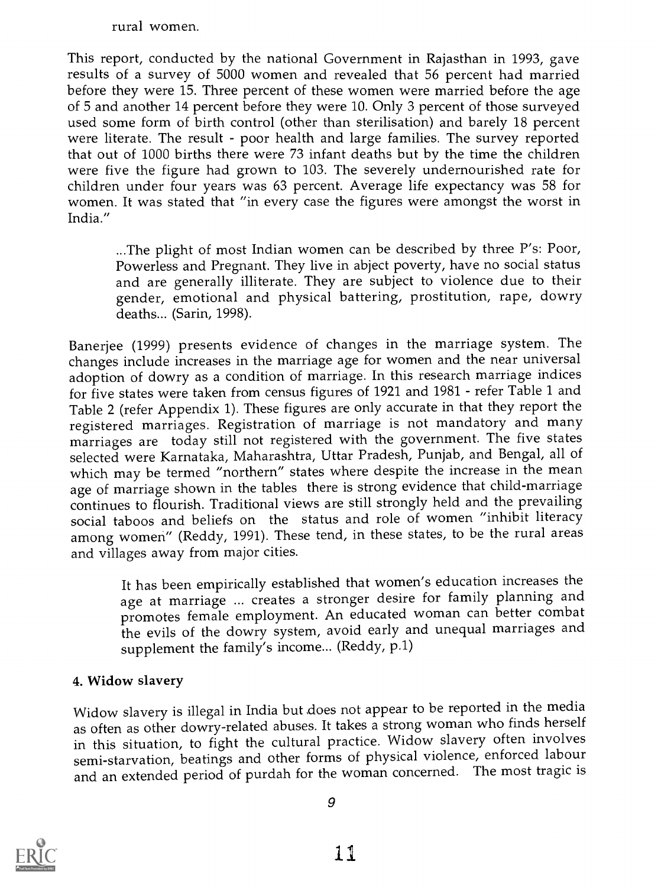rural women.

This report, conducted by the national Government in Rajasthan in 1993, gave results of a survey of 5000 women and revealed that 56 percent had married before they were 15. Three percent of these women were married before the age of 5 and another 14 percent before they were 10. Only 3 percent of those surveyed used some form of birth control (other than sterilisation) and barely 18 percent were literate. The result - poor health and large families. The survey reported that out of 1000 births there were 73 infant deaths but by the time the children were five the figure had grown to 103. The severely undernourished rate for children under four years was 63 percent. Average life expectancy was 58 for women. It was stated that "in every case the figures were amongst the worst in India."

...The plight of most Indian women can be described by three P's: Poor, Powerless and Pregnant. They live in abject poverty, have no social status and are generally illiterate. They are subject to violence due to their gender, emotional and physical battering, prostitution, rape, dowry deaths... (Sarin, 1998).

Banerjee (1999) presents evidence of changes in the marriage system. The changes include increases in the marriage age for women and the near universal adoption of dowry as a condition of marriage. In this research marriage indices for five states were taken from census figures of 1921 and 1981 - refer Table 1 and Table 2 (refer Appendix 1). These figures are only accurate in that they report the registered marriages. Registration of marriage is not mandatory and many marriages are today still not registered with the government. The five states selected were Karnataka, Maharashtra, Uttar Pradesh, Punjab, and Bengal, all of which may be termed "northern" states where despite the increase in the mean age of marriage shown in the tables there is strong evidence that child-marriage continues to flourish. Traditional views are still strongly held and the prevailing social taboos and beliefs on the status and role of women "inhibit literacy among women" (Reddy, 1991). These tend, in these states, to be the rural areas and villages away from major cities.

It has been empirically established that women's education increases the age at marriage ... creates a stronger desire for family planning and promotes female employment. An educated woman can better combat the evils of the dowry system, avoid early and unequal marriages and supplement the family's income... (Reddy, p.1)

## 4. Widow slavery

Widow slavery is illegal in India but does not appear to be reported in the media as often as other dowry-related abuses. It takes a strong woman who finds herself in this situation, to fight the cultural practice. Widow slavery often involves semi-starvation, beatings and other forms of physical violence, enforced labour and an extended period of purdah for the woman concerned. The most tragic is

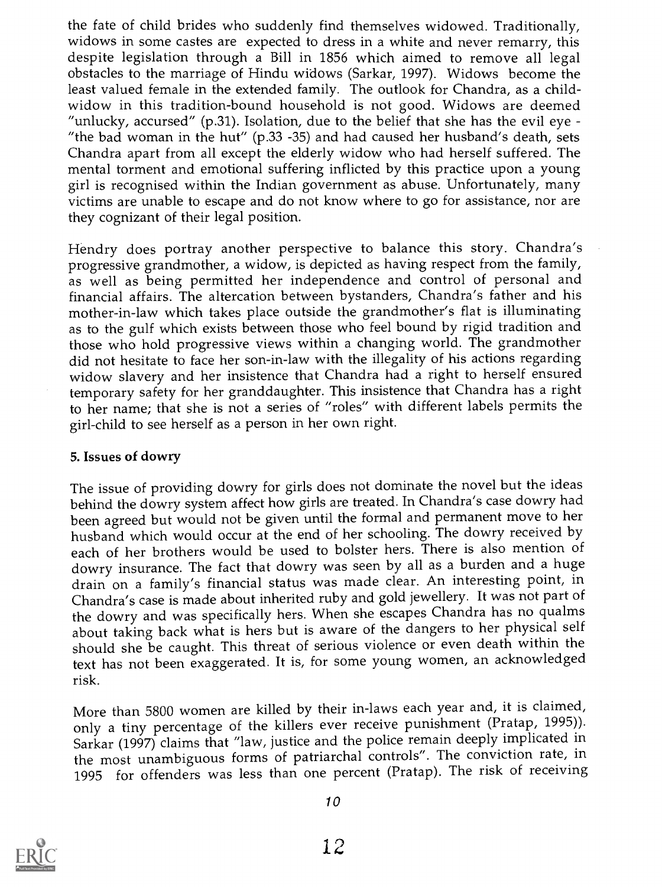the fate of child brides who suddenly find themselves widowed. Traditionally, widows in some castes are expected to dress in a white and never remarry, this despite legislation through a Bill in 1856 which aimed to remove all legal obstacles to the marriage of Hindu widows (Sarkar, 1997). Widows become the least valued female in the extended family. The outlook for Chandra, as a childwidow in this tradition-bound household is not good. Widows are deemed "unlucky, accursed" (p.31). Isolation, due to the belief that she has the evil eye -"the bad woman in the hut" (p.33 -35) and had caused her husband's death, sets Chandra apart from all except the elderly widow who had herself suffered. The mental torment and emotional suffering inflicted by this practice upon a young girl is recognised within the Indian government as abuse. Unfortunately, many victims are unable to escape and do not know where to go for assistance, nor are they cognizant of their legal position.

Hendry does portray another perspective to balance this story. Chandra's progressive grandmother, a widow, is depicted as having respect from the family, as well as being permitted her independence and control of personal and financial affairs. The altercation between bystanders, Chandra's father and his mother-in-law which takes place outside the grandmother's flat is illuminating as to the gulf which exists between those who feel bound by rigid tradition and those who hold progressive views within a changing world. The grandmother did not hesitate to face her son-in-law with the illegality of his actions regarding widow slavery and her insistence that Chandra had a right to herself ensured temporary safety for her granddaughter. This insistence that Chandra has a right to her name; that she is not a series of "roles" with different labels permits the girl-child to see herself as a person in her own right.

### 5. Issues of dowry

The issue of providing dowry for girls does not dominate the novel but the ideas behind the dowry system affect how girls are treated. In Chandra's case dowry had been agreed but would not be given until the formal and permanent move to her husband which would occur at the end of her schooling. The dowry received by each of her brothers would be used to bolster hers. There is also mention of dowry insurance. The fact that dowry was seen by all as a burden and a huge drain on a family's financial status was made clear. An interesting point, in Chandra's case is made about inherited ruby and gold jewellery. It was not part of the dowry and was specifically hers. When she escapes Chandra has no qualms about taking back what is hers but is aware of the dangers to her physical self should she be caught. This threat of serious violence or even death within the text has not been exaggerated. It is, for some young women, an acknowledged risk.

More than 5800 women are killed by their in-laws each year and, it is claimed, only a tiny percentage of the killers ever receive punishment (Pratap, 1995)). Sarkar (1997) claims that "law, justice and the police remain deeply implicated in the most unambiguous forms of patriarchal controls". The conviction rate, in <sup>1995</sup> for offenders was less than one percent (Pratap). The risk of receiving

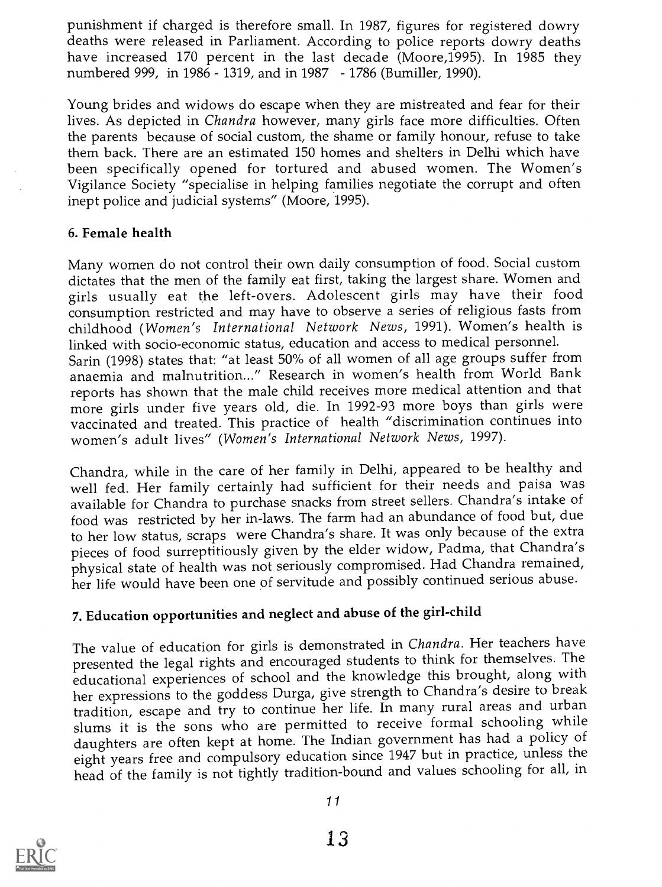punishment if charged is therefore small. In 1987, figures for registered dowry deaths were released in Parliament. According to police reports dowry deaths have increased 170 percent in the last decade (Moore,1995). In 1985 they numbered 999, in 1986 - 1319, and in 1987 - 1786 (Bumiller, 1990).

Young brides and widows do escape when they are mistreated and fear for their lives. As depicted in Chandra however, many girls face more difficulties. Often the parents because of social custom, the shame or family honour, refuse to take them back. There are an estimated 150 homes and shelters in Delhi which have been specifically opened for tortured and abused women. The Women's Vigilance Society "specialise in helping families negotiate the corrupt and often inept police and judicial systems" (Moore, 1995).

### 6. Female health

Many women do not control their own daily consumption of food. Social custom<br>dictates that the men of the family eat first, taking the largest share. Women and girls usually eat the left-overs. Adolescent girls may have their food consumption restricted and may have to observe a series of religious fasts from childhood (Women's International Network News, 1991). Women's health is linked with socio-economic status, education and access to medical personnel. Sarin (1998) states that: "at least 50% of all women of all age groups suffer from anaemia and malnutrition..." Research in women's health from World Bank reports has shown that the male child receives more medical attention and that more girls under five years old, die. In 1992-93 more boys than girls were vaccinated and treated. This practice of health "discrimination continues into women's adult lives" (Women's International Network News, 1997).

Chandra, while in the care of her family in Delhi, appeared to be healthy and well fed. Her family certainly had sufficient for their needs and paisa was available for Chandra to purchase snacks from street sellers. Chandra's intake of food was restricted by her in-laws. The farm had an abundance of food but, due to her low status, scraps were Chandra's share. It was only because of the extra pieces of food surreptitiously given by the elder widow, Padma, that Chandra's physical state of health was not seriously compromised. Had Chandra remained, her life would have been one of servitude and possibly continued serious abuse.

# 7. Education opportunities and neglect and abuse of the girl-child

The value of education for girls is demonstrated in Chandra. Her teachers have presented the legal rights and encouraged students to think for themselves. The educational experiences of school and the knowledge this brought, along with her expressions to the goddess Durga, give strength to Chandra's desire to break tradition, escape and try to continue her life. In many rural areas and urban slums it is the sons who are permitted to receive formal schooling while daughters are often kept at home. The Indian government has had a policy of eight years free and compulsory education since 1947 but in practice, unless the head of the family is not tightly tradition-bound and values schooling for all, in

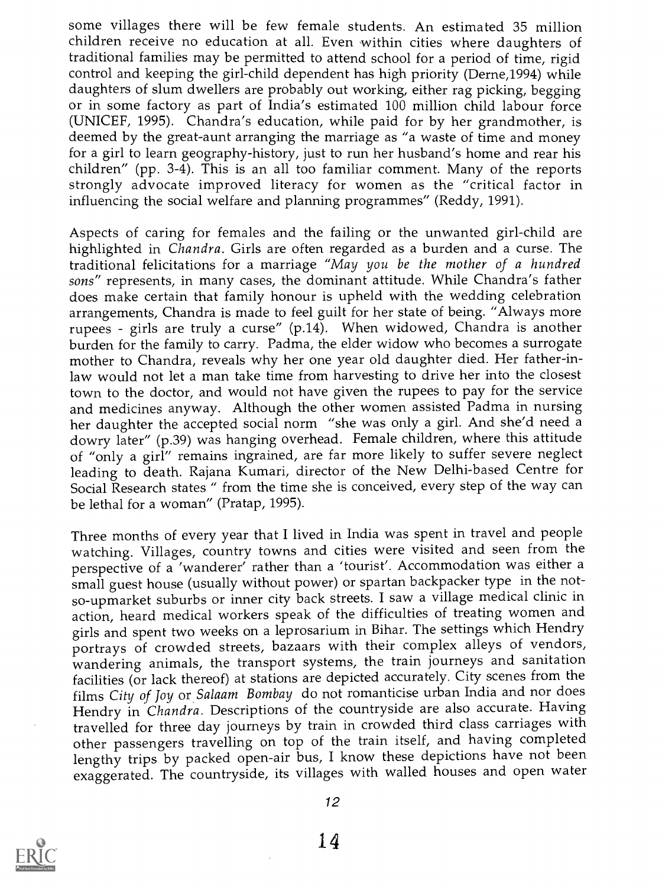some villages there will be few female students. An estimated 35 million children receive no education at all. Even within cities where daughters of traditional families may be permitted to attend school for a period of time, rigid control and keeping the girl-child dependent has high priority (Derne,1994) while daughters of slum dwellers are probably out working, either rag picking, begging or in some factory as part of India's estimated 100 million child labour force (UNICEF, 1995). Chandra's education, while paid for by her grandmother, is deemed by the great-aunt arranging the marriage as "a waste of time and money for a girl to learn geography-history, just to run her husband's home and rear his children" (pp. 3-4). This is an all too familiar comment. Many of the reports strongly advocate improved literacy for women as the "critical factor in influencing the social welfare and planning programmes" (Reddy, 1991).

Aspects of caring for females and the failing or the unwanted girl-child are highlighted in Chandra. Girls are often regarded as a burden and a curse. The traditional felicitations for a marriage "May you be the mother of a hundred sons" represents, in many cases, the dominant attitude. While Chandra's father does make certain that family honour is upheld with the wedding celebration arrangements, Chandra is made to feel guilt for her state of being. "Always more rupees - girls are truly a curse" (p.14). When widowed, Chandra is another burden for the family to carry. Padma, the elder widow who becomes a surrogate mother to Chandra, reveals why her one year old daughter died. Her father-inlaw would not let a man take time from harvesting to drive her into the closest town to the doctor, and would not have given the rupees to pay for the service and medicines anyway. Although the other women assisted Padma in nursing her daughter the accepted social norm "she was only a girl. And she'd need a dowry later" (p.39) was hanging overhead. Female children, where this attitude of "only a girl" remains ingrained, are far more likely to suffer severe neglect leading to death. Rajana Kumari, director of the New Delhi-based Centre for Social Research states " from the time she is conceived, every step of the way can be lethal for a woman" (Pratap, 1995).

Three months of every year that I lived in India was spent in travel and people watching. Villages, country towns and cities were visited and seen from the perspective of a 'wanderer' rather than a 'tourist'. Accommodation was either a small guest house (usually without power) or spartan backpacker type in the notso-upmarket suburbs or inner city back streets. I saw a village medical clinic in action, heard medical workers speak of the difficulties of treating women and girls and spent two weeks on a leprosarium in Bihar. The settings which Hendry portrays of crowded streets, bazaars with their complex alleys of vendors, wandering animals, the transport systems, the train journeys and sanitation facilities (or lack thereof) at stations are depicted accurately. City scenes from the films City of Joy or Salaam Bombay do not romanticise urban India and nor does Hendry in Chandra. Descriptions of the countryside are also accurate. Having travelled for three day journeys by train in crowded third class carriages with other passengers travelling on top of the train itself, and having completed lengthy trips by packed open-air bus, I know these depictions have not been exaggerated. The countryside, its villages with walled houses and open water



12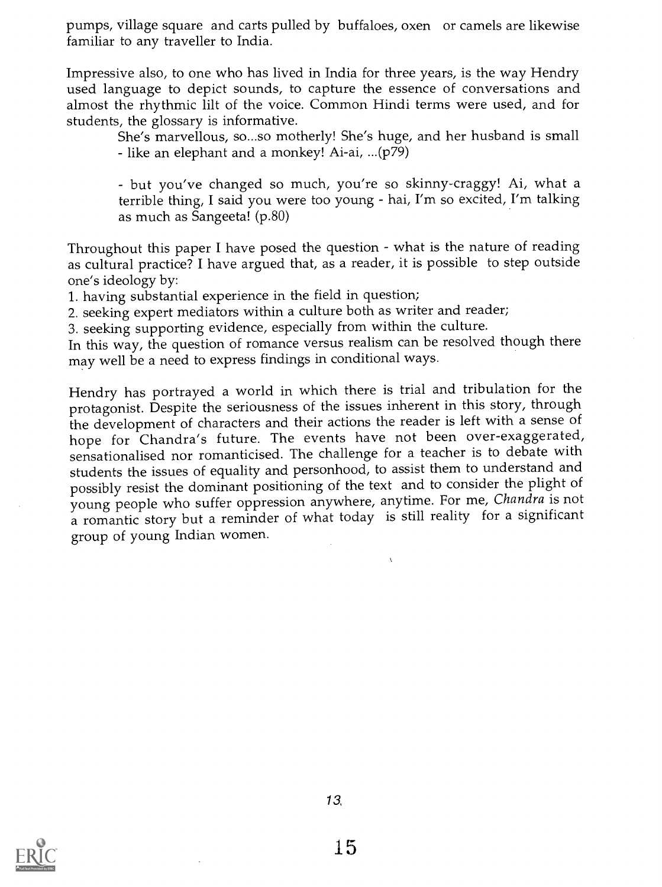pumps, village square and carts pulled by buffaloes, oxen or camels are likewise familiar to any traveller to India.

Impressive also, to one who has lived in India for three years, is the way Hendry used language to depict sounds, to capture the essence of conversations and almost the rhythmic lilt of the voice. Common Hindi terms were used, and for students, the glossary is informative.

She's marvellous, so...so motherly! She's huge, and her husband is small like an elephant and a monkey! Ai-ai, ...(p79)

but you've changed so much, you're so skinny-craggy! Ai, what a terrible thing, I said you were too young - hai, I'm so excited, I'm talking as much as Sangeeta! (p.80)

Throughout this paper I have posed the question - what is the nature of reading as cultural practice? I have argued that, as a reader, it is possible to step outside one's ideology by:

1. having substantial experience in the field in question;

2. seeking expert mediators within a culture both as writer and reader;

3. seeking supporting evidence, especially from within the culture.

In this way, the question of romance versus realism can be resolved though there may well be a need to express findings in conditional ways.

Hendry has portrayed a world in which there is trial and tribulation for the protagonist. Despite the seriousness of the issues inherent in this story, through the development of characters and their actions the reader is left with a sense of hope for Chandra's future. The events have not been over-exaggerated, sensationalised nor romanticised. The challenge for a teacher is to debate with students the issues of equality and personhood, to assist them to understand and possibly resist the dominant positioning of the text and to consider the plight of young people who suffer oppression anywhere, anytime. For me, Chandra is not a romantic story but a reminder of what today is still reality for a significant group of young Indian women.

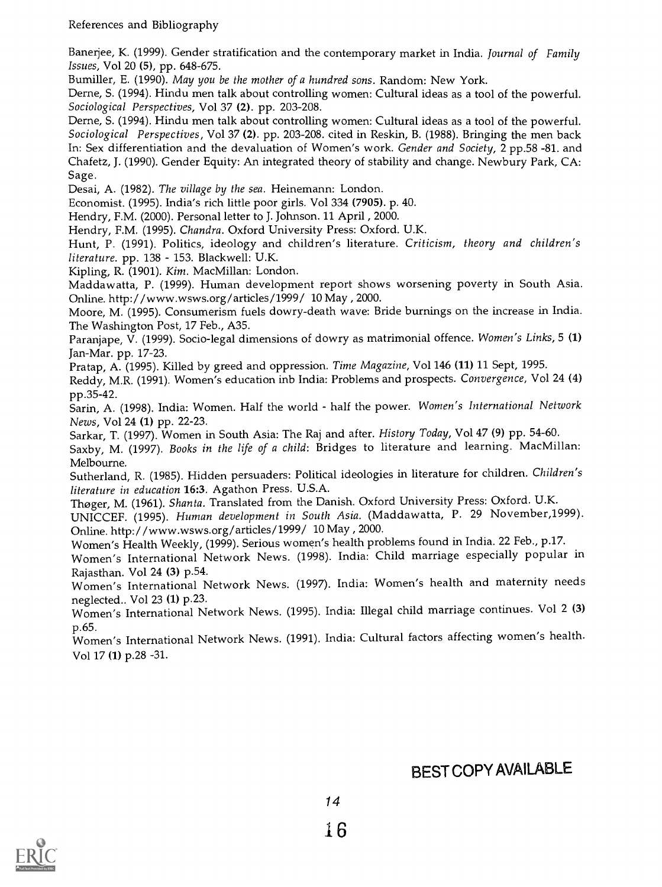References and Bibliography

Banerjee, K. (1999). Gender stratification and the contemporary market in India. Journal of Family Issues, Vol 20 (5), pp. 648-675.

Bumiller, E. (1990). May you be the mother of a hundred sons. Random: New York.

Derne, S. (1994). Hindu men talk about controlling women: Cultural ideas as a tool of the powerful. Sociological Perspectives, Vol 37 (2). pp. 203-208.

Derne, S. (1994). Hindu men talk about controlling women: Cultural ideas as a tool of the powerful. Sociological Perspectives, Vol 37 (2). pp. 203-208. cited in Reskin, B. (1988). Bringing the men back In: Sex differentiation and the devaluation of Women's work. Gender and Society, 2 pp.58 -81. and Chafetz, J. (1990). Gender Equity: An integrated theory of stability and change. Newbury Park, CA: Sage.

Desai, A. (1982). The village by the sea. Heinemann: London.

Economist. (1995). India's rich little poor girls. Vol 334 (7905). p. 40.

Hendry, F.M. (2000). Personal letter to J. Johnson. 11 April , 2000.

Hendry, F.M. (1995). Chandra. Oxford University Press: Oxford. U.K.

Hunt, P. (1991). Politics, ideology and children's literature. Criticism, theory and children's literature. pp. 138 - 153. Blackwell: U.K.

Kipling, R. (1901). Kim. MacMillan: London.

Maddawatta, P. (1999). Human development report shows worsening poverty in South Asia. Online. http:/ /www.wsws.org/ articles /1999/ 10 May, , 2000.

Moore, M. (1995). Consumerism fuels dowry-death wave: Bride burnings on the increase in India. The Washington Post, 17 Feb., A35.

Paranjape, V. (1999). Socio-legal dimensions of dowry as matrimonial offence. Women's Links, 5 (1) Jan-Mar. pp. 17-23.

Pratap, A. (1995). Killed by greed and oppression. Time Magazine, Vol 146 (11) 11 Sept, 1995.

Reddy, M.R. (1991). Women's education inb India: Problems and prospects. Convergence, Vol 24 (4) pp.35-42.

. .<br>Sarin, A. (1998). India: Women. Half the world - half the power. Women's *International Network* News, Vol 24 (1) pp. 22-23.

Sarkar, T. (1997). Women in South Asia: The Raj and after. History Today, Vol 47 (9) pp. 54-60.

Saxby, M. (1997). Books in the life of a child: Bridges to literature and learning. MacMillan: Melbourne.

Sutherland, R. (1985). Hidden persuaders: Political ideologies in literature for children. Children's literature in education 16:3. Agathon Press. U.S.A.

Thoger, M. (1961). Shanta. Translated from the Danish. Oxford University Press: Oxford. U.K.

UNICCEF. (1995). Human development in South Asia. (Maddawatta, P. 29 November,1999). Online. http://www.wsws.org/article5/l999/ 10 May, , 2000.

Women's Health Weekly, (1999). Serious women's health problems found in India. 22 Feb., p.17.

Women's International Network News. (1998). India: Child marriage especially popular in Rajasthan. Vol 24 (3) p.54.

Women's International Network News (1997). India: Women's health and maternity needs neglected.. Vol 23 (1) p.23.

Women's International Network News. (1995). India: Illegal child marriage continues. Vol 2 (3) p.65.

Women's International Network News. (1991). India: Cultural factors affecting women's health. Vol 17 (1) p.28 -31.

# BEST COPY AVAILABLE

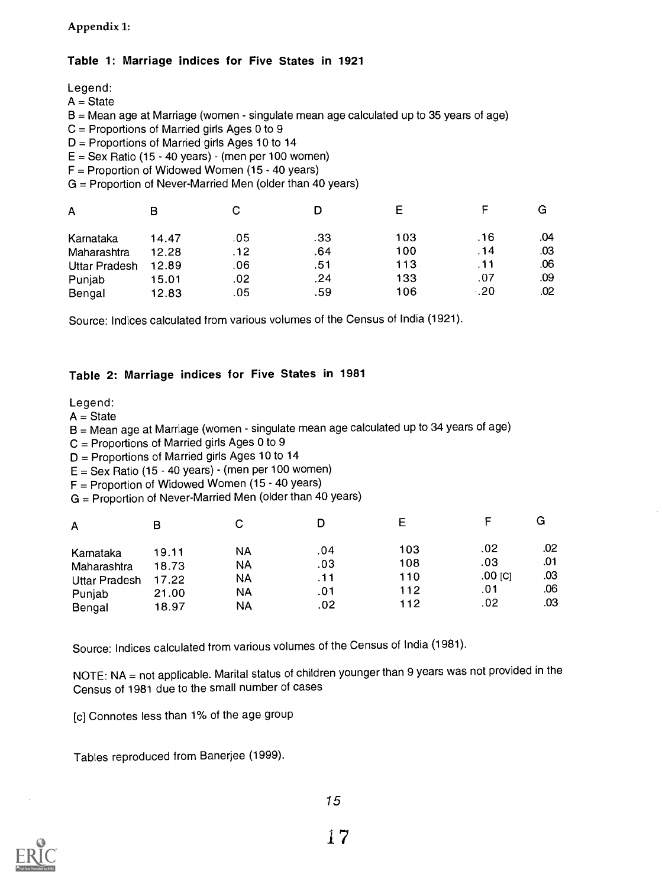Appendix 1:

#### Table 1: Marriage indices for Five States in 1921

Legend:  $A = State$  $B = M$ ean age at Marriage (women - singulate mean age calculated up to 35 years of age) C = Proportions of Married girls Ages 0 to 9  $D =$  Proportions of Married girls Ages 10 to 14  $E =$  Sex Ratio (15 - 40 years) - (men per 100 women)  $F =$  Proportion of Widowed Women (15 - 40 years) G = Proportion of Never-Married Men (older than 40 years)  $\overline{R}$  $\overline{C}$ n.  $\blacksquare$ A

| n.                   | ້     | ັ   | -   | -   |             | --  |  |
|----------------------|-------|-----|-----|-----|-------------|-----|--|
| Karnataka            | 14.47 | .05 | .33 | 103 | .16         | .04 |  |
| Maharashtra          | 12.28 | .12 | .64 | 100 | .14         | .03 |  |
| <b>Uttar Pradesh</b> | 12.89 | .06 | .51 | 113 |             | .06 |  |
| Punjab               | 15.01 | .02 | .24 | 133 | .07         | .09 |  |
| Bengal               | 12.83 | .05 | .59 | 106 | $\cdot$ .20 | .02 |  |

 $\mathbf{F}$ 

 $\overline{G}$ 

Source: Indices calculated from various volumes of the Census of India (1921).

#### Table 2: Marriage indices for Five States in 1981

#### Legend:

 $A = State$ 

 $B = M$ ean age at Marriage (women - singulate mean age calculated up to 34 years of age)

C = Proportions of Married girls Ages 0 to 9

D = Proportions of Married girls Ages 10 to 14

 $E =$  Sex Ratio (15 - 40 years) - (men per 100 women)

 $F =$  Proportion of Widowed Women (15 - 40 years)

G = Proportion of Never-Married Men (older than 40 years)

| A             | B     |           |     | E   |           | G   |
|---------------|-------|-----------|-----|-----|-----------|-----|
| Karnataka     | 19.11 | NA        | .04 | 103 | .02       | .02 |
| Maharashtra   | 18.73 | <b>NA</b> | .03 | 108 | .03       | .01 |
| Uttar Pradesh | 17.22 | <b>NA</b> | .11 | 110 | $.00$ [C] | .03 |
| Punjab        | 21.00 | NA.       | .01 | 112 | .01       | .06 |
| Bengal        | 18.97 | NA        | .02 | 112 | .02       | .03 |

Source: Indices calculated from various volumes of the Census of India (1981).

NOTE: NA = not applicable. Marital status of children younger than 9 years was not provided in the Census of 1981 due to the small number of cases

[c] Connotes less than 1% of the age group

Tables reproduced from Banerjee (1999).

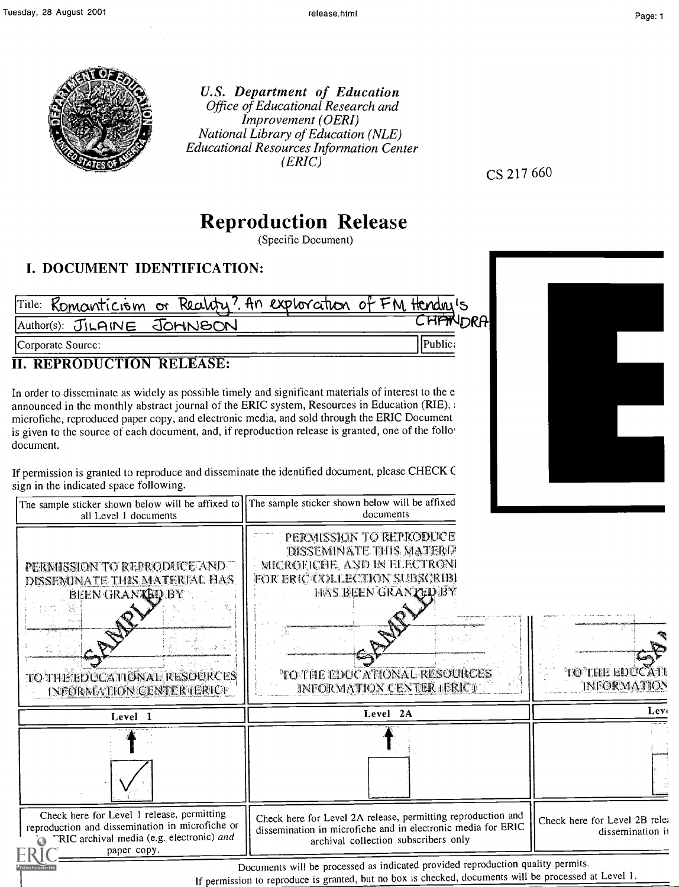

U.S. Department of Education Office of Educational Research and Improvement (OERI) National Library of Education (NLE) Educational Resources Information Center (ERIC)

CS 217 660

# Reproduction Release

(Specific Document)

## I. DOCUMENT IDENTIFICATION:

|                   |                            | Title: Romanticism or Reality? An exploration of FM Hendri's |                 |
|-------------------|----------------------------|--------------------------------------------------------------|-----------------|
|                   | Author(s): JILAINE JOHNSON |                                                              | <b>CHPTNDRA</b> |
| Corporate Source: |                            |                                                              | [Public:        |

Corporate Source:

### II. REPRODUCTION RELEASE:

In order to disseminate as widely as possible timely and significant materials of interest to the e announced in the monthly abstract journal of the ERIC system, Resources in Education (RIE), ; microfiche, reproduced paper copy, and electronic media, and sold through the ERIC Document is given to the source of each document, and, if reproduction release is granted, one of the folio' document.

If permission is granted to reproduce and disseminate the identified document, please CHECK C sign in the indicated space following.

| The sample sticker shown below will be affixed to    The sample sticker shown below will be affixed<br>all Level 1 documents                                                             | documents                                                                                                                                                                                                              |                                                   |  |
|------------------------------------------------------------------------------------------------------------------------------------------------------------------------------------------|------------------------------------------------------------------------------------------------------------------------------------------------------------------------------------------------------------------------|---------------------------------------------------|--|
| PERMISSION TO REPRODUCE AND<br>DISSEMUNATE THIS MATERIAL HAS<br><b>BEEN GRANKED BY</b><br>TO THE EDUCATIONAL RESOURCES<br>INFORMACTION CENTER (ERIC)                                     | PERMISSION TO REPRODUCE<br><b>DISSEMINATE THIS MATERI2</b><br>MICROFICHE, AND IN ELECTRONI<br>FOR ERIC COLLECTION SUBSGRIEF<br>HAS BEEN GRANTED BY<br><b>TO THE EDUCATIONAL RESOURCES</b><br>INFORMATION CENTER (ERIC) | TO THE EDUCATI<br>INFORMATION                     |  |
| Level 1                                                                                                                                                                                  | Level 2A                                                                                                                                                                                                               | Lev <sub>t</sub>                                  |  |
|                                                                                                                                                                                          |                                                                                                                                                                                                                        |                                                   |  |
| Check here for Level 1 release, permitting<br>reproduction and dissemination in microfiche or<br>"RIC archival media (e.g. electronic) and<br>paper copy.                                | Check here for Level 2A release, permitting reproduction and<br>dissemination in microfiche and in electronic media for ERIC<br>archival collection subscribers only                                                   | Check here for Level 2B relea<br>dissemination in |  |
| Documents will be processed as indicated provided reproduction quality permits.<br>If permission to reproduce is granted, but no box is checked, documents will be processed at Level 1. |                                                                                                                                                                                                                        |                                                   |  |